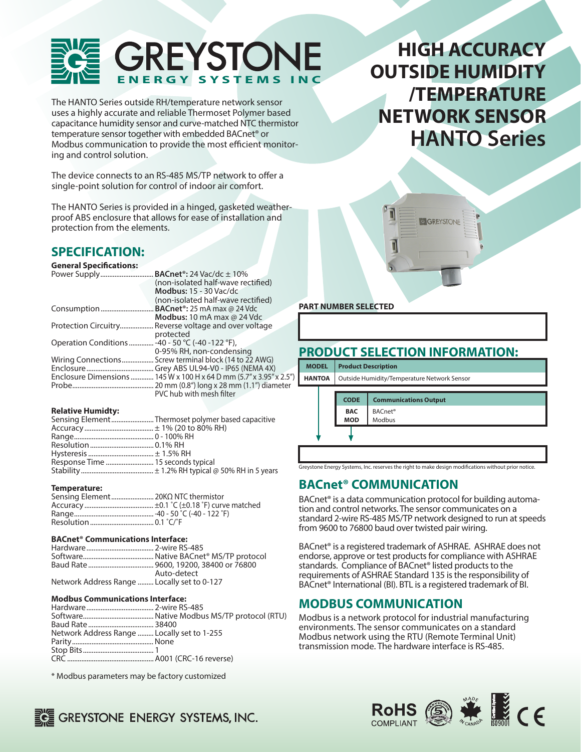

The HANTO Series outside RH/temperature network sensor uses a highly accurate and reliable Thermoset Polymer based capacitance humidity sensor and curve-matched NTC thermistor temperature sensor together with embedded BACnet® or Modbus communication to provide the most efficient monitoring and control solution.

The device connects to an RS-485 MS/TP network to offer a single-point solution for control of indoor air comfort.

The HANTO Series is provided in a hinged, gasketed weatherproof ABS enclosure that allows for ease of installation and protection from the elements.

# **HIGH ACCURACY OUTSIDE HUMIDITY /TEMPERATURE NETWORK SENSOR HANTO Series**

GIGREYSTONE

### **SPECIFICATION:**

**General Specifications:** 

|                                                   | BACnet <sup>®</sup> : 24 Vac/dc $\pm$ 10%     |
|---------------------------------------------------|-----------------------------------------------|
|                                                   | (non-isolated half-wave rectified)            |
|                                                   | <b>Modbus: 15 - 30 Vac/dc</b>                 |
|                                                   | (non-isolated half-wave rectified)            |
|                                                   | <b>BACnet<sup>®</sup>: 25 mA max @ 24 Vdc</b> |
|                                                   | <b>Modbus:</b> 10 mA max $\omega$ 24 Vdc      |
| Protection Circuitry                              | Reverse voltage and over voltage              |
|                                                   | protected                                     |
| Operation Conditions  -40 - 50 °C (-40 - 122 °F), |                                               |
|                                                   | 0-95% RH, non-condensing                      |
| Wiring Connections                                | Screw terminal block (14 to 22 AWG)           |
|                                                   |                                               |
| Enclosure Dimensions                              | 145 W x 100 H x 64 D mm (5.7" x 3.95" x 2.5") |
|                                                   | 20 mm (0.8") long x 28 mm (1.1") diameter     |
|                                                   | PVC hub with mesh filter                      |

### **Relative Humidty:**

| Sensing ElementThermoset polymer based capacitive |
|---------------------------------------------------|
|                                                   |
|                                                   |
|                                                   |
|                                                   |
|                                                   |
|                                                   |

#### **Temperature:**

| Sensing Element 20ΚΩ NTC thermistor |  |
|-------------------------------------|--|
|                                     |  |
|                                     |  |
|                                     |  |

### **BACnet® Communications Interface:**

|                                             | Auto-detect |
|---------------------------------------------|-------------|
| Network Address Range  Locally set to 0-127 |             |

#### **Modbus Communications Interface:**

| Network Address Range  Locally set to 1-255 |  |
|---------------------------------------------|--|
|                                             |  |
|                                             |  |
|                                             |  |

\* Modbus parameters may be factory customized

### **PART NUMBER SELECTED**

### **PRODUCT SELECTION INFORMATION:**

| <b>MODEL</b>  | <b>Product Description</b>                  |                               |  |
|---------------|---------------------------------------------|-------------------------------|--|
| <b>HANTOA</b> | Outside Humidity/Temperature Network Sensor |                               |  |
|               |                                             |                               |  |
|               | <b>CODE</b>                                 | <b>Communications Output</b>  |  |
|               | <b>BAC</b><br><b>MOD</b>                    | BACnet <sup>®</sup><br>Modbus |  |
|               |                                             |                               |  |

Greystone Energy Systems, Inc. reserves the right to make design modifications without prior notice.

### **BACnet® COMMUNICATION**

BACnet<sup>®</sup> is a data communication protocol for building automation and control networks. The sensor communicates on a standard 2-wire RS-485 MS/TP network designed to run at speeds from 9600 to 76800 baud over twisted pair wiring.

BACnet® is a registered trademark of ASHRAE. ASHRAE does not endorse, approve or test products for compliance with ASHRAE standards. Compliance of BACnet<sup>®</sup> listed products to the requirements of ASHRAE Standard 135 is the responsibility of BACnet® International (BI). BTL is a registered trademark of BI.

### **MODBUS COMMUNICATION**

Modbus is a network protocol for industrial manufacturing environments. The sensor communicates on a standard Modbus network using the RTU (Remote Terminal Unit) transmission mode. The hardware interface is RS-485.